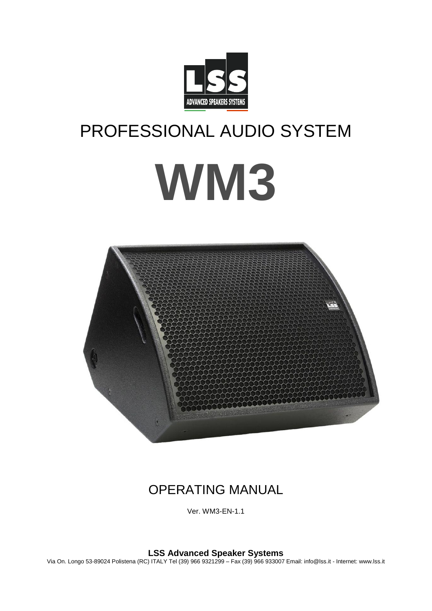

# PROFESSIONAL AUDIO SYSTEM **WM3**



## OPERATING MANUAL

Ver. WM3-EN-1.1

**LSS Advanced Speaker Systems**

Via On. Longo 53-89024 Polistena (RC) ITALY Tel (39) 966 9321299 – Fax (39) 966 933007 Email: info@lss.it - Internet: www.lss.it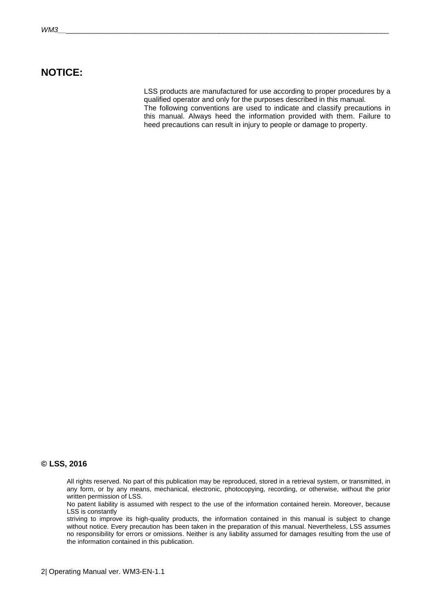## **NOTICE:**

LSS products are manufactured for use according to proper procedures by a qualified operator and only for the purposes described in this manual. The following conventions are used to indicate and classify precautions in this manual. Always heed the information provided with them. Failure to heed precautions can result in injury to people or damage to property.

#### **© LSS, 2016**

All rights reserved. No part of this publication may be reproduced, stored in a retrieval system, or transmitted, in any form, or by any means, mechanical, electronic, photocopying, recording, or otherwise, without the prior written permission of LSS.

No patent liability is assumed with respect to the use of the information contained herein. Moreover, because LSS is constantly

striving to improve its high-quality products, the information contained in this manual is subject to change without notice. Every precaution has been taken in the preparation of this manual. Nevertheless, LSS assumes no responsibility for errors or omissions. Neither is any liability assumed for damages resulting from the use of the information contained in this publication.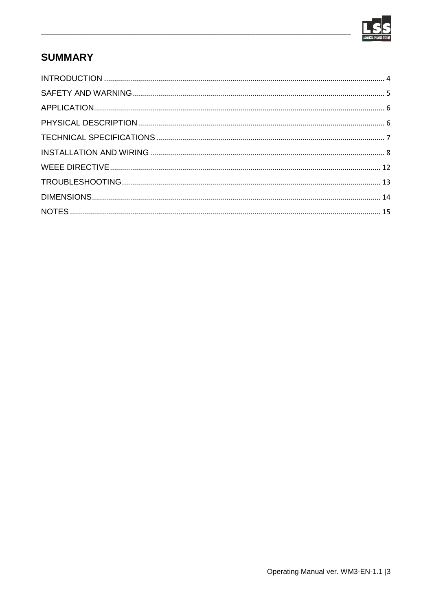

## **SUMMARY**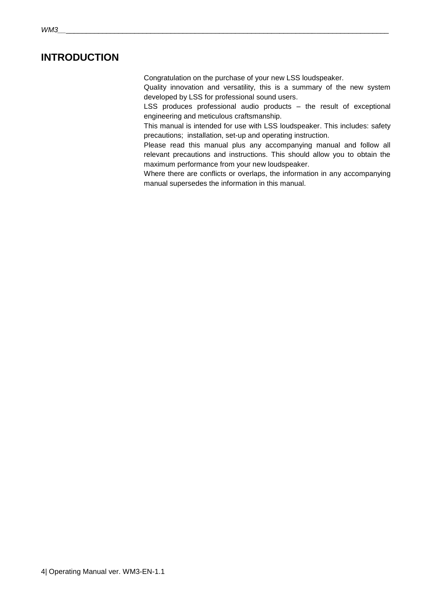## <span id="page-3-0"></span>**INTRODUCTION**

Congratulation on the purchase of your new LSS loudspeaker.

Quality innovation and versatility, this is a summary of the new system developed by LSS for professional sound users.

LSS produces professional audio products – the result of exceptional engineering and meticulous craftsmanship.

This manual is intended for use with LSS loudspeaker. This includes: safety precautions; installation, set-up and operating instruction.

Please read this manual plus any accompanying manual and follow all relevant precautions and instructions. This should allow you to obtain the maximum performance from your new loudspeaker.

Where there are conflicts or overlaps, the information in any accompanying manual supersedes the information in this manual.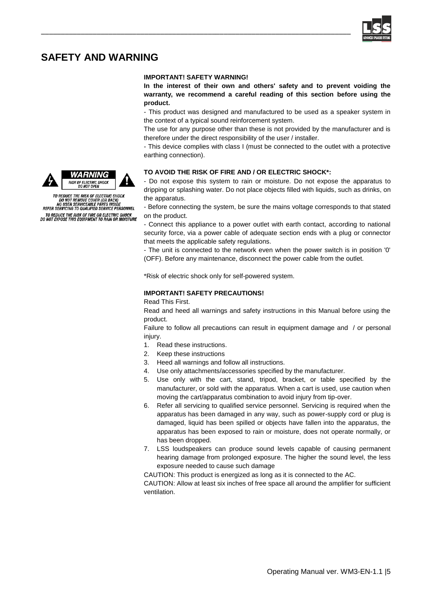

## <span id="page-4-0"></span>**SAFETY AND WARNING**

#### **IMPORTANT! SAFETY WARNING!**

\_\_\_\_\_\_\_\_\_\_\_\_\_\_\_\_\_\_\_\_\_\_\_\_\_\_\_\_\_\_\_\_\_\_\_\_\_\_\_\_\_\_\_\_\_\_\_\_\_\_\_\_\_\_\_\_\_\_\_\_\_\_\_\_\_\_\_\_\_\_\_\_\_\_\_\_\_\_

**In the interest of their own and others' safety and to prevent voiding the warranty, we recommend a careful reading of this section before using the product.**

- This product was designed and manufactured to be used as a speaker system in the context of a typical sound reinforcement system.

The use for any purpose other than these is not provided by the manufacturer and is therefore under the direct responsibility of the user / installer.

- This device complies with class I (must be connected to the outlet with a protective earthing connection).

#### **TO AVOID THE RISK OF FIRE AND / OR ELECTRIC SHOCK\*:**

- Do not expose this system to rain or moisture. Do not expose the apparatus to dripping or splashing water. Do not place objects filled with liquids, such as drinks, on the apparatus.

- Before connecting the system, be sure the mains voltage corresponds to that stated on the product.

- Connect this appliance to a power outlet with earth contact, according to national security force, via a power cable of adequate section ends with a plug or connector that meets the applicable safety regulations.

- The unit is connected to the network even when the power switch is in position '0' (OFF). Before any maintenance, disconnect the power cable from the outlet.

\*Risk of electric shock only for self-powered system.

#### **IMPORTANT! SAFETY PRECAUTIONS!**

Read This First.

Read and heed all warnings and safety instructions in this Manual before using the product.

Failure to follow all precautions can result in equipment damage and / or personal injury.

- 1. Read these instructions.
- 2. Keep these instructions
- 3. Heed all warnings and follow all instructions.
- 4. Use only attachments/accessories specified by the manufacturer.
- 5. Use only with the cart, stand, tripod, bracket, or table specified by the manufacturer, or sold with the apparatus. When a cart is used, use caution when moving the cart/apparatus combination to avoid injury from tip-over.
- 6. Refer all servicing to qualified service personnel. Servicing is required when the apparatus has been damaged in any way, such as power-supply cord or plug is damaged, liquid has been spilled or objects have fallen into the apparatus, the apparatus has been exposed to rain or moisture, does not operate normally, or has been dropped.
- 7. LSS loudspeakers can produce sound levels capable of causing permanent hearing damage from prolonged exposure. The higher the sound level, the less exposure needed to cause such damage

CAUTION: This product is energized as long as it is connected to the AC.

CAUTION: Allow at least six inches of free space all around the amplifier for sufficient ventilation.





TO REDUCE THE RISK OF ELECTRIC SHOCK<br>DO NOT REMOVE COVER (OR BACK)<br>NO USER SERVICEABLE PARTS INSIDE<br>REFER SERVICING TO QUALIFIED SERVICE PERSONNEL

TO REDUCE THE RISK OF FIRE OR ELECTRIC SHOCK<br>DO NOT EXPOSE THIS EQUIPMENT TO RAIN OR MOISTURE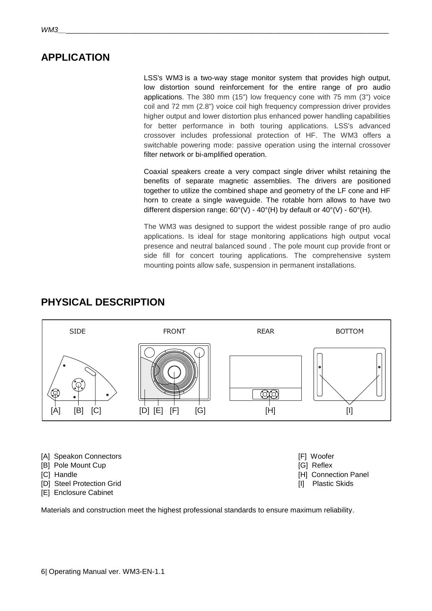<span id="page-5-0"></span>LSS's WM3 is a two-way stage monitor system that provides high output, low distortion sound reinforcement for the entire range of pro audio applications. The 380 mm (15") low frequency cone with 75 mm (3") voice coil and 72 mm (2.8") voice coil high frequency compression driver provides higher output and lower distortion plus enhanced power handling capabilities for better performance in both touring applications. LSS's advanced crossover includes professional protection of HF. The WM3 offers a switchable powering mode: passive operation using the internal crossover filter network or bi-amplified operation.

Coaxial speakers create a very compact single driver whilst retaining the benefits of separate magnetic assemblies. The drivers are positioned together to utilize the combined shape and geometry of the LF cone and HF horn to create a single waveguide. The rotable horn allows to have two different dispersion range:  $60^{\circ}$ (V) -  $40^{\circ}$ (H) by default or  $40^{\circ}$ (V) -  $60^{\circ}$ (H).

The WM3 was designed to support the widest possible range of pro audio applications. Is ideal for stage monitoring applications high output vocal presence and neutral balanced sound . The pole mount cup provide front or side fill for concert touring applications. The comprehensive system mounting points allow safe, suspension in permanent installations.



## <span id="page-5-1"></span>**PHYSICAL DESCRIPTION**

- [A] Speakon Connectors **[F]** Woofer
- [B] Pole Mount Cup **[G]** Reflex
- **[C]** Handle **[G]** Handle **[H]** Connection Panel
- [D] Steel Protection Grid **[I]** Plastic Skids
- [E] Enclosure Cabinet

Materials and construction meet the highest professional standards to ensure maximum reliability.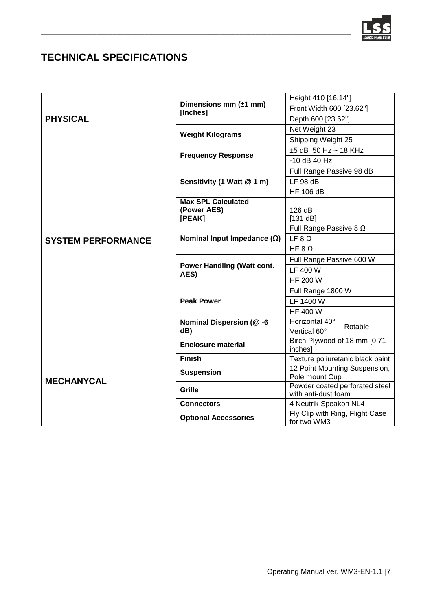

## <span id="page-6-0"></span>**TECHNICAL SPECIFICATIONS**

|                           |                                          | Height 410 [16.14"]                                   |         |
|---------------------------|------------------------------------------|-------------------------------------------------------|---------|
| <b>PHYSICAL</b>           | Dimensions mm $(\pm 1$ mm)<br>[Inches]   | Front Width 600 [23.62"]                              |         |
|                           |                                          | Depth 600 [23.62"]                                    |         |
|                           |                                          | Net Weight 23                                         |         |
|                           | <b>Weight Kilograms</b>                  | Shipping Weight 25                                    |         |
|                           | <b>Frequency Response</b>                | $\pm 5$ dB 50 Hz ~ 18 KHz                             |         |
|                           |                                          | -10 dB 40 Hz                                          |         |
|                           | Sensitivity (1 Watt @ 1 m)               | Full Range Passive 98 dB                              |         |
| <b>SYSTEM PERFORMANCE</b> |                                          | LF 98 dB                                              |         |
|                           |                                          | <b>HF 106 dB</b>                                      |         |
|                           | <b>Max SPL Calculated</b><br>(Power AES) | 126 dB                                                |         |
|                           | [PEAK]                                   | [131 dB]                                              |         |
|                           | Nominal Input Impedance $(\Omega)$       | Full Range Passive 8 $\Omega$                         |         |
|                           |                                          | LF 8Q                                                 |         |
|                           |                                          | HF $8 \Omega$                                         |         |
|                           | Power Handling (Watt cont.<br>AES)       | Full Range Passive 600 W                              |         |
|                           |                                          | <b>LF 400 W</b>                                       |         |
|                           |                                          | HF 200 W                                              |         |
|                           | <b>Peak Power</b>                        | Full Range 1800 W                                     |         |
|                           |                                          | LF 1400 W                                             |         |
|                           |                                          | HF 400 W                                              |         |
|                           | <b>Nominal Dispersion (@-6</b>           | Horizontal 40°                                        | Rotable |
|                           | dB)                                      | Vertical 60°                                          |         |
| <b>MECHANYCAL</b>         | <b>Enclosure material</b>                | Birch Plywood of 18 mm [0.71<br>inches]               |         |
|                           | <b>Finish</b>                            | Texture poliuretanic black paint                      |         |
|                           | <b>Suspension</b>                        | 12 Point Mounting Suspension,                         |         |
|                           |                                          | Pole mount Cup                                        |         |
|                           | Grille                                   | Powder coated perforated steel<br>with anti-dust foam |         |
|                           | <b>Connectors</b>                        | 4 Neutrik Speakon NL4                                 |         |
|                           | <b>Optional Accessories</b>              | Fly Clip with Ring, Flight Case<br>for two WM3        |         |

\_\_\_\_\_\_\_\_\_\_\_\_\_\_\_\_\_\_\_\_\_\_\_\_\_\_\_\_\_\_\_\_\_\_\_\_\_\_\_\_\_\_\_\_\_\_\_\_\_\_\_\_\_\_\_\_\_\_\_\_\_\_\_\_\_\_\_\_\_\_\_\_\_\_\_\_\_\_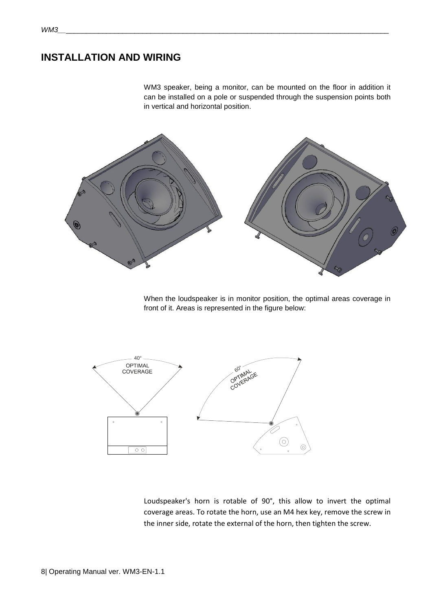## <span id="page-7-0"></span>**INSTALLATION AND WIRING**

WM3 speaker, being a monitor, can be mounted on the floor in addition it can be installed on a pole or suspended through the suspension points both in vertical and horizontal position.



When the loudspeaker is in monitor position, the optimal areas coverage in front of it. Areas is represented in the figure below:



Loudspeaker's horn is rotable of 90°, this allow to invert the optimal coverage areas. To rotate the horn, use an M4 hex key, remove the screw in the inner side, rotate the external of the horn, then tighten the screw.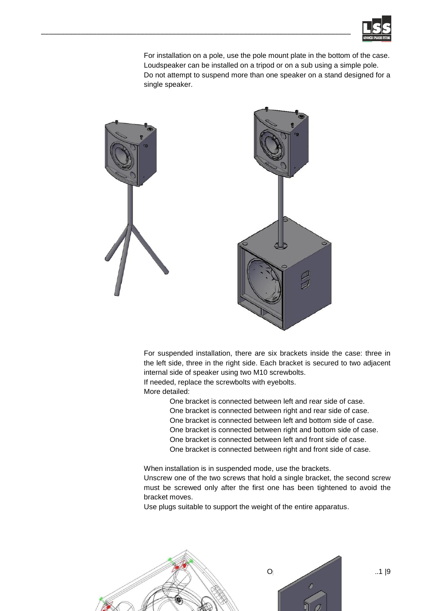

For installation on a pole, use the pole mount plate in the bottom of the case. Loudspeaker can be installed on a tripod or on a sub using a simple pole. Do not attempt to suspend more than one speaker on a stand designed for a single speaker.



\_\_\_\_\_\_\_\_\_\_\_\_\_\_\_\_\_\_\_\_\_\_\_\_\_\_\_\_\_\_\_\_\_\_\_\_\_\_\_\_\_\_\_\_\_\_\_\_\_\_\_\_\_\_\_\_\_\_\_\_\_\_\_\_\_\_\_\_\_\_\_\_\_\_\_\_\_\_

For suspended installation, there are six brackets inside the case: three in the left side, three in the right side. Each bracket is secured to two adjacent internal side of speaker using two M10 screwbolts. If needed, replace the screwbolts with eyebolts.

More detailed:

One bracket is connected between left and rear side of case. One bracket is connected between right and rear side of case. One bracket is connected between left and bottom side of case. One bracket is connected between right and bottom side of case. One bracket is connected between left and front side of case. One bracket is connected between right and front side of case.

When installation is in suspended mode, use the brackets. Unscrew one of the two screws that hold a single bracket, the second screw must be screwed only after the first one has been tightened to avoid the bracket moves.

Use plugs suitable to support the weight of the entire apparatus.

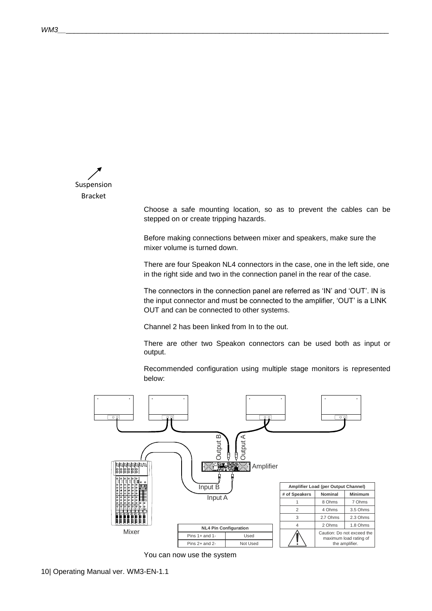Suspension Bracket

Choose a safe mounting location, so as to prevent the cables can be stepped on or create tripping hazards.

Before making connections between mixer and speakers, make sure the mixer volume is turned down.

There are four Speakon NL4 connectors in the case, one in the left side, one in the right side and two in the connection panel in the rear of the case.

The connectors in the connection panel are referred as 'IN' and 'OUT'. IN is the input connector and must be connected to the amplifier, 'OUT' is a LINK OUT and can be connected to other systems.

Channel 2 has been linked from In to the out.

There are other two Speakon connectors can be used both as input or output.

Recommended configuration using multiple stage monitors is represented below:



You can now use the system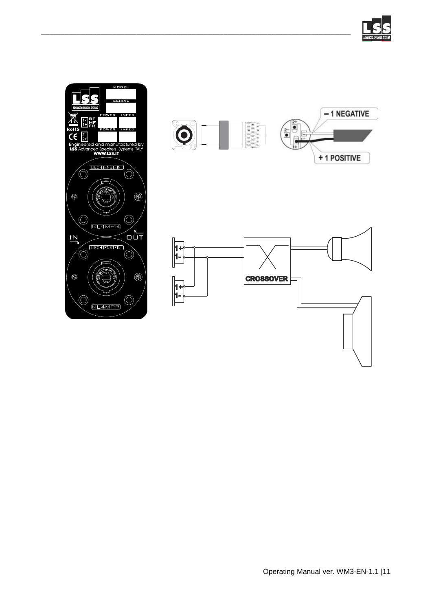





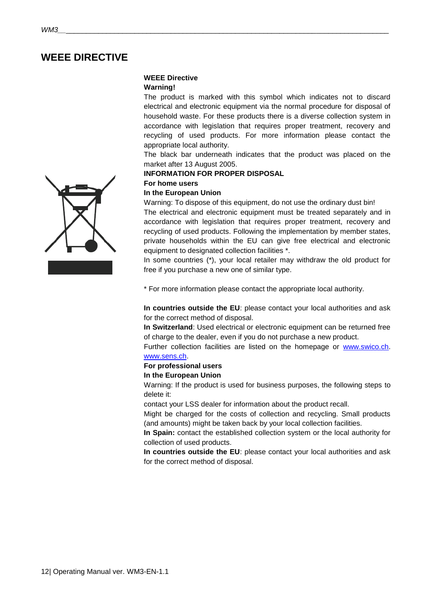## <span id="page-11-0"></span>**WEEE DIRECTIVE**

#### **WEEE Directive**

#### **Warning!**

The product is marked with this symbol which indicates not to discard electrical and electronic equipment via the normal procedure for disposal of household waste. For these products there is a diverse collection system in accordance with legislation that requires proper treatment, recovery and recycling of used products. For more information please contact the appropriate local authority.

The black bar underneath indicates that the product was placed on the market after 13 August 2005.

#### **INFORMATION FOR PROPER DISPOSAL**

#### **For home users**

#### **In the European Union**

Warning: To dispose of this equipment, do not use the ordinary dust bin!

The electrical and electronic equipment must be treated separately and in accordance with legislation that requires proper treatment, recovery and recycling of used products. Following the implementation by member states, private households within the EU can give free electrical and electronic equipment to designated collection facilities \*.

In some countries (\*), your local retailer may withdraw the old product for free if you purchase a new one of similar type.

\* For more information please contact the appropriate local authority.

**In countries outside the EU**: please contact your local authorities and ask for the correct method of disposal.

**In Switzerland**: Used electrical or electronic equipment can be returned free of charge to the dealer, even if you do not purchase a new product.

Further collection facilities are listed on the homepage or [www.swico.ch.](http://www.swico.ch/) [www.sens.ch.](http://www.sens.ch/) 

#### **For professional users**

#### **In the European Union**

Warning: If the product is used for business purposes, the following steps to delete it:

contact your LSS dealer for information about the product recall.

Might be charged for the costs of collection and recycling. Small products (and amounts) might be taken back by your local collection facilities.

**In Spain:** contact the established collection system or the local authority for collection of used products.

**In countries outside the EU**: please contact your local authorities and ask for the correct method of disposal.

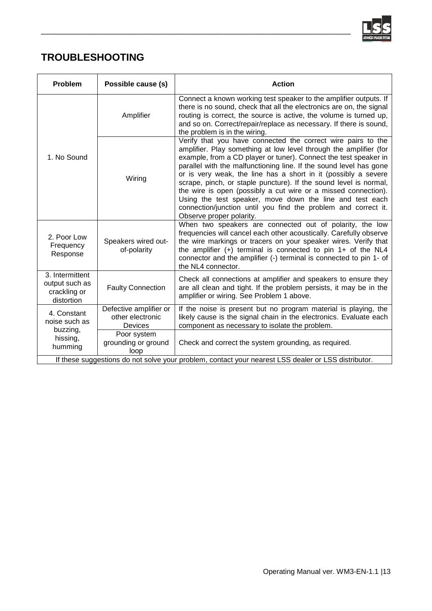

## <span id="page-12-0"></span>**TROUBLESHOOTING**

| Problem                                                                                             | Possible cause (s)                                    | <b>Action</b>                                                                                                                                                                                                                                                                                                                                                                                                                                                                                                                                                                                                                                  |  |  |
|-----------------------------------------------------------------------------------------------------|-------------------------------------------------------|------------------------------------------------------------------------------------------------------------------------------------------------------------------------------------------------------------------------------------------------------------------------------------------------------------------------------------------------------------------------------------------------------------------------------------------------------------------------------------------------------------------------------------------------------------------------------------------------------------------------------------------------|--|--|
| 1. No Sound                                                                                         | Amplifier                                             | Connect a known working test speaker to the amplifier outputs. If<br>there is no sound, check that all the electronics are on, the signal<br>routing is correct, the source is active, the volume is turned up,<br>and so on. Correct/repair/replace as necessary. If there is sound,<br>the problem is in the wiring.                                                                                                                                                                                                                                                                                                                         |  |  |
|                                                                                                     | Wiring                                                | Verify that you have connected the correct wire pairs to the<br>amplifier. Play something at low level through the amplifier (for<br>example, from a CD player or tuner). Connect the test speaker in<br>parallel with the malfunctioning line. If the sound level has gone<br>or is very weak, the line has a short in it (possibly a severe<br>scrape, pinch, or staple puncture). If the sound level is normal,<br>the wire is open (possibly a cut wire or a missed connection).<br>Using the test speaker, move down the line and test each<br>connection/junction until you find the problem and correct it.<br>Observe proper polarity. |  |  |
| 2. Poor Low<br>Frequency<br>Response                                                                | Speakers wired out-<br>of-polarity                    | When two speakers are connected out of polarity, the low<br>frequencies will cancel each other acoustically. Carefully observe<br>the wire markings or tracers on your speaker wires. Verify that<br>the amplifier $(+)$ terminal is connected to pin 1+ of the NL4<br>connector and the amplifier (-) terminal is connected to pin 1- of<br>the NL4 connector.                                                                                                                                                                                                                                                                                |  |  |
| 3. Intermittent<br>output such as<br>crackling or<br>distortion                                     | <b>Faulty Connection</b>                              | Check all connections at amplifier and speakers to ensure they<br>are all clean and tight. If the problem persists, it may be in the<br>amplifier or wiring. See Problem 1 above.                                                                                                                                                                                                                                                                                                                                                                                                                                                              |  |  |
| 4. Constant<br>noise such as<br>buzzing,<br>hissing,<br>humming                                     | Defective amplifier or<br>other electronic<br>Devices | If the noise is present but no program material is playing, the<br>likely cause is the signal chain in the electronics. Evaluate each<br>component as necessary to isolate the problem.                                                                                                                                                                                                                                                                                                                                                                                                                                                        |  |  |
|                                                                                                     | Poor system<br>grounding or ground<br>loop            | Check and correct the system grounding, as required.                                                                                                                                                                                                                                                                                                                                                                                                                                                                                                                                                                                           |  |  |
| If these suggestions do not solve your problem, contact your nearest LSS dealer or LSS distributor. |                                                       |                                                                                                                                                                                                                                                                                                                                                                                                                                                                                                                                                                                                                                                |  |  |

\_\_\_\_\_\_\_\_\_\_\_\_\_\_\_\_\_\_\_\_\_\_\_\_\_\_\_\_\_\_\_\_\_\_\_\_\_\_\_\_\_\_\_\_\_\_\_\_\_\_\_\_\_\_\_\_\_\_\_\_\_\_\_\_\_\_\_\_\_\_\_\_\_\_\_\_\_\_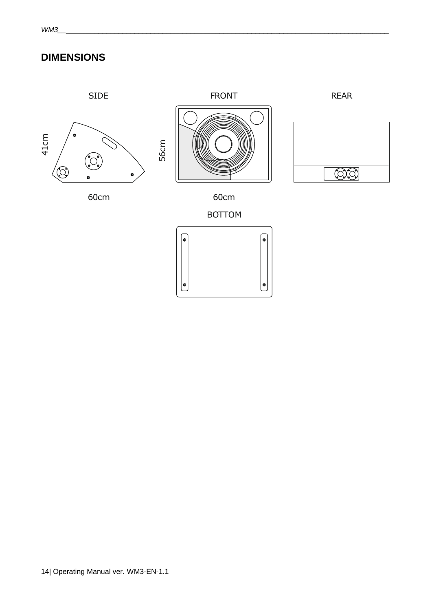## <span id="page-13-0"></span>**DIMENSIONS**

## SIDE



## REAR







60cm

60cm

BOTTOM

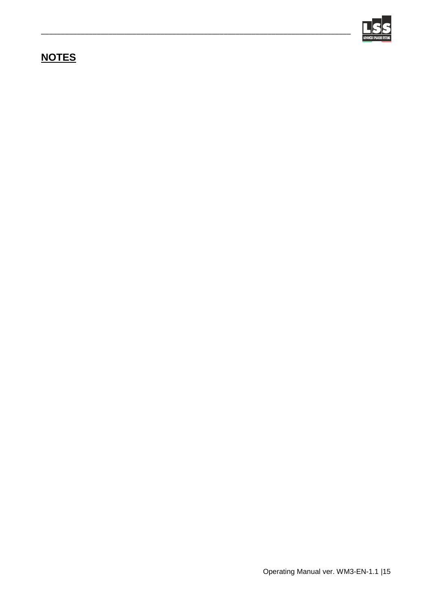

## <span id="page-14-0"></span>**NOTES**